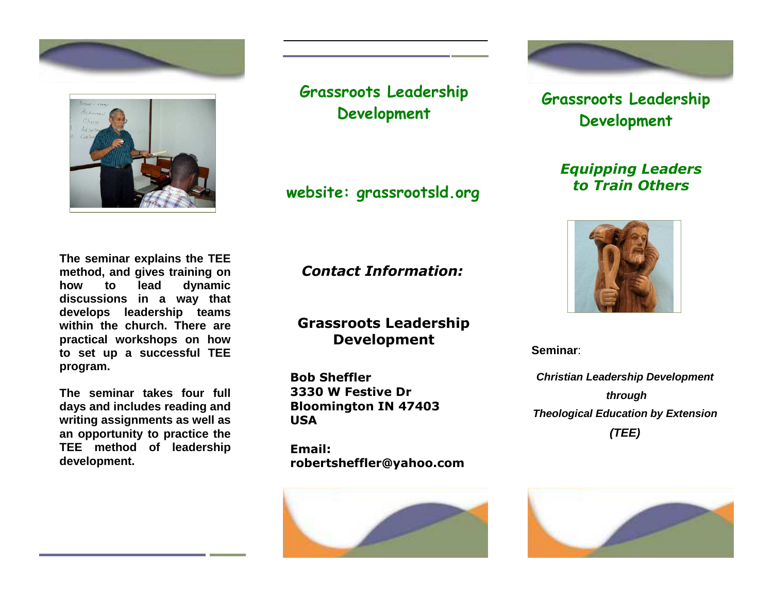



**Grassroots Leadership Development** 

**website: grassrootsld.org**

**The seminar explains the TEE method, and gives training on how to lead dynamic discussions in a way that develops leadership teams within the church. There are practical workshops on how to set up a successful TEE program.** 

**The seminar takes four full days and includes reading and writing assignments as well as an opportunity to practice the TEE method of leadership development.**

*Contact Information:*

**Grassroots Leadership Development** 

**Bob Sheffler 3330 W Festive Dr Bloomington IN 47403 USA** 

**Email: robertsheffler@yahoo.com**





**Grassroots Leadership Development** 

> *Equipping Leaders to Train Others*



**Seminar**:

**Christian Leadership Development through Theological Education by Extension(TEE)**